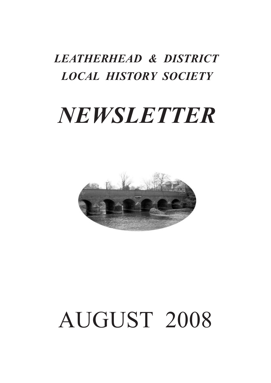## *LEATHERHEAD & DISTRICT LOCAL HISTORY SOCIETY*

## *NEWSLETTER*



# AUGUST 2008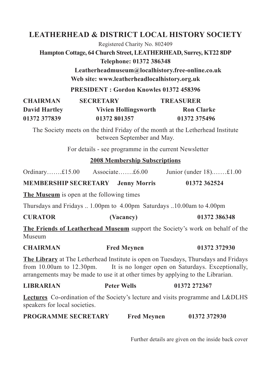#### **LEATHERHEAD & DISTRICT LOCAL HISTORY SOCIETY**

Registered Charity No. 802409

**Hampton Cottage, 64 Church Street, LEATHERHEAD, Surrey, KT22 8DP Telephone: 01372 386348**

> **Leatherheadmuseum@localhistory.free-online.co.uk Web site: www.leatherheadlocalhistory.org.uk**

**PRESIDENT : Gordon Knowles 01372 458396**

| <b>CHAIRMAN</b>      | <b>SECRETARY</b>     | <b>TREASURER</b>  |
|----------------------|----------------------|-------------------|
| <b>David Hartley</b> | Vivien Hollingsworth | <b>Ron Clarke</b> |
| 01372 377839         | 01372 801357         | 01372 375496      |

The Society meets on the third Friday of the month at the Letherhead Institute between September and May.

For details - see programme in the current Newsletter

#### **2008 Membership Subscriptions**

Ordinary…….£15.00 Associate…….£6.00 Junior (under 18).……£1.00

**MEMBERSHIP SECRETARY Jenny Morris 01372 362524**

**The Museum** is open at the following times

Thursdays and Fridays .. 1.00pm to 4.00pm Saturdays ..10.00am to 4.00pm

| <b>CURATOR</b> | (Vacancy) | 01372 386348 |
|----------------|-----------|--------------|
|----------------|-----------|--------------|

**The Friends of Leatherhead Museum** support the Society's work on behalf of the Museum

**CHAIRMAN Fred Meynen 01372 372930**

**The Library** at The Letherhead Institute is open on Tuesdays, Thursdays and Fridays from 10.00am to 12.30pm. It is no longer open on Saturdays. Exceptionally, arrangements may be made to use it at other times by applying to the Librarian.

| <b>Peter Wells</b> | 01372 272367 |
|--------------------|--------------|
|                    |              |

**Lectures** Co-ordination of the Society's lecture and visits programme and L&DLHS speakers for local societies.

| <b>PROGRAMME SECRETARY</b> | <b>Fred Meynen</b> | 01372 372930 |
|----------------------------|--------------------|--------------|
|----------------------------|--------------------|--------------|

Further details are given on the inside back cover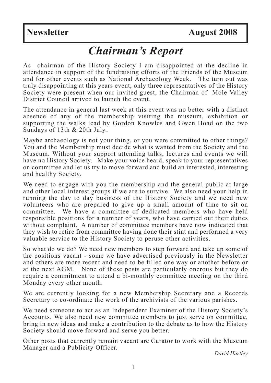#### *Chairman's Report*

As chairman of the History Society I am disappointed at the decline in attendance in support of the fundraising efforts of the Friends of the Museum and for other events such as National Archaeology Week. The turn out was truly disappointing at this years event, only three representatives of the History Society were present when our invited guest, the Chairman of Mole Valley District Council arrived to launch the event.

The attendance in general last week at this event was no better with a distinct absence of any of the membership visiting the museum, exhibition or supporting the walks lead by Gordon Knowles and Gwen Hoad on the two Sundays of 13th & 20th July..

Maybe archaeology is not your thing, or you were committed to other things? You and the Membership must decide what is wanted from the Society and the Museum. Without your support attending talks, lectures and events we will have no History Society. Make your voice heard, speak to your representatives on committee and let us try to move forward and build an interested, interesting and healthy Society.

We need to engage with you the membership and the general public at large and other local interest groups if we are to survive. We also need your help in running the day to day business of the History Society and we need new volunteers who are prepared to give up a small amount of time to sit on committee. We have a committee of dedicated members who have held responsible positions for a number of years, who have carried out their duties without complaint. A number of committee members have now indicated that they wish to retire from committee having done their stint and performed a very valuable service to the History Society to peruse other activities.

So what do we do? We need new members to step forward and take up some of the positions vacant - some we have advertised previously in the Newsletter and others are more recent and need to be filled one way or another before or at the next AGM. None of these posts are particularly onerous but they do require a commitment to attend a bi-monthly committee meeting on the third Monday every other month.

We are currently looking for a new Membership Secretary and a Records Secretary to co-ordinate the work of the archivists of the various parishes.

We need someone to act as an Independent Examiner of the History Society's Accounts. We also need new committee members to just serve on committee, bring in new ideas and make a contribution to the debate as to how the History Society should move forward and serve you better.

Other posts that currently remain vacant are Curator to work with the Museum Manager and <sup>a</sup> Publicity Officer. *David Hartley*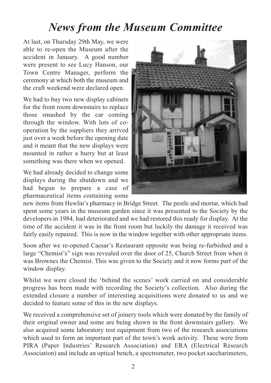#### *News from the Museum Committee*

At last, on Thursday 29th May, we were able to re-open the Museum after the accident in January. A good number were present to see Lucy Hanson, our Town Centre Manager, perform the ceremony at which both the museum and the craft weekend were declared open.

We had to buy two new display cabinets for the front room downstairs to replace those smashed by the car coming through the window. With lots of cooperation by the suppliers they arrived just over a week before the opening date and it meant that the new displays were mounted in rather a hurry but at least something was there when we opened.

We had already decided to change some displays during the shutdown and we had begun to prepare a case of pharmaceutical items containing some



new items from Hewlin's pharmacy in Bridge Street. The pestle and mortar, which had spent some years in the museum garden since it was presented to the Society by the developers in 1984, had deteriorated and we had restored this ready for display. At the time of the accident it was in the front room but luckily the damage it received was fairly easily repaired. This is now in the window together with other appropriate items.

Soon after we re-opened Caesar's Restaurant opposite was being re-furbished and a large "Chemist's" sign was revealed over the door of 25, Church Street from when it was Brownes the Chemist. This was given to the Society and it now forms part of the window display.

Whilst we were closed the 'behind the scenes' work carried on and considerable progress has been made with recording the Society's collection. Also during the extended closure a number of interesting acquisitions were donated to us and we decided to feature some of this in the new displays.

We received a comprehensive set of joinery tools which were donated by the family of their original owner and some are being shown in the front downstairs gallery. We also acquired some laboratory test equipment from two of the research associations which used to form an important part of the town's work activity. These were from PIRA (Paper Industries' Research Association) and ERA (Electrical Research Association) and include an optical bench, a spectrometer, two pocket saccharimeters,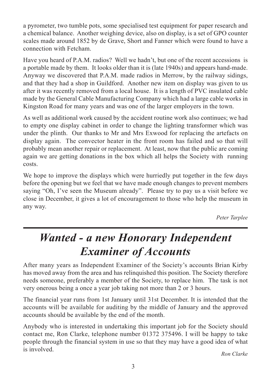a pyrometer, two tumble pots, some specialised test equipment for paper research and a chemical balance. Another weighing device, also on display, is a set of GPO counter scales made around 1852 by de Grave, Short and Fanner which were found to have a connection with Fetcham.

Have you heard of P.A.M. radios? Well we hadn't, but one of the recent accessions is a portable made by them. It looks older than it is (late 1940s) and appears hand-made. Anyway we discovered that P.A.M. made radios in Merrow, by the railway sidings, and that they had a shop in Guildford. Another new item on display was given to us after it was recently removed from a local house. It is a length of PVC insulated cable made by the General Cable Manufacturing Company which had a large cable works in Kingston Road for many years and was one of the larger employers in the town.

As well as additional work caused by the accident routine work also continues; we had to empty one display cabinet in order to change the lighting transformer which was under the plinth. Our thanks to Mr and Mrs Exwood for replacing the artefacts on display again. The convector heater in the front room has failed and so that will probably mean another repair or replacement. At least, now that the public are coming again we are getting donations in the box which all helps the Society with running costs.

We hope to improve the displays which were hurriedly put together in the few days before the opening but we feel that we have made enough changes to prevent members saying "Oh, I've seen the Museum already". Please try to pay us a visit before we close in December, it gives a lot of encouragement to those who help the museum in any way.

*Peter Tarplee*

### *Wanted - a new Honorary Independent Examiner of Accounts*

After many years as Independent Examiner of the Society's accounts Brian Kirby has moved away from the area and has relinquished this position. The Society therefore needs someone, preferably a member of the Society, to replace him. The task is not very onerous being a once a year job taking not more than 2 or 3 hours.

The financial year runs from 1st January until 31st December. It is intended that the accounts will be available for auditing by the middle of January and the approved accounts should be available by the end of the month.

Anybody who is interested in undertaking this important job for the Society should contact me, Ron Clarke, telephone number 01372 375496. I will be happy to take people through the financial system in use so that they may have a good idea of what is involved. *Ron Clarke*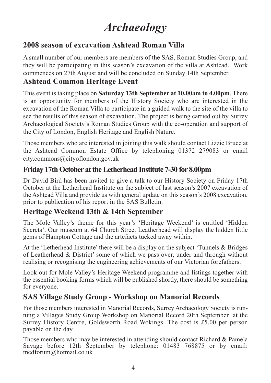### *Archaeology*

#### **2008 season of excavation Ashtead Roman Villa**

A small number of our members are members of the SAS, Roman Studies Group, and they will be participating in this season's excavation of the villa at Ashtead. Work commences on 27th August and will be concluded on Sunday 14th September.

#### **Ashtead Common Heritage Event**

This event is taking place on **Saturday 13th September at 10.00am to 4.00pm**. There is an opportunity for members of the History Society who are interested in the excavation of the Roman Villa to participate in a guided walk to the site of the villa to see the results of this season of excavation. The project is being carried out by Surrey Archaeological Society's Roman Studies Group with the co-operation and support of the City of London, English Heritage and English Nature.

Those members who are interested in joining this walk should contact Lizzie Bruce at the Ashtead Common Estate Office by telephoning 01372 279083 or email city.commons@cityoflondon.gov.uk

#### **Friday** 17th October at the Letherhead Institute 7-30 for 8.00pm

Dr David Bird has been invited to give a talk to our History Society on Friday 17th October at the Letherhead Institute on the subject of last season's 2007 excavation of the Ashtead Villa and provide us with general update on this season's 2008 excavation, prior to publication of his report in the SAS Bulletin.

#### **Heritage Weekend 13th & 14th September**

The Mole Valley's theme for this year's 'Heritage Weekend' is entitled 'Hidden Secrets'. Our museum at 64 Church Street Leatherhead will display the hidden little gems of Hampton Cottage and the artefacts tucked away within.

At the 'Letherhead Institute' there will be a display on the subject 'Tunnels & Bridges of Leatherhead & District' some of which we pass over, under and through without realising or recognising the engineering achievements of our Victorian forefathers.

Look out for Mole Valley's Heritage Weekend programme and listings together with the essential booking forms which will be published shortly, there should be something for everyone.

#### **SAS Village Study Group - Workshop on Manorial Records**

For those members interested in Manorial Records, Surrey Archaeology Society is running a Villages Study Group Workshop on Manorial Record 20th September at the Surrey History Centre, Goldsworth Road Wokings. The cost is £5.00 per person payable on the day.

Those members who may be interested in attending should contact Richard & Pamela Savage before 12th September by telephone: 01483 768875 or by email: medforum@hotmail.co.uk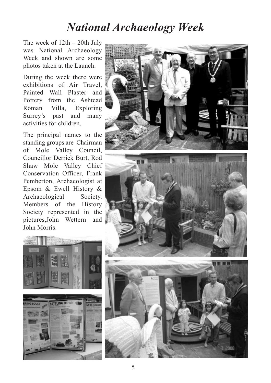#### *National Archaeology Week*

The week of 12th – 20th July was National Archaeology Week and shown are some photos taken at the Launch.

During the week there were exhibitions of Air Travel, Painted Wall Plaster and Pottery from the Ashtead Roman Villa, Exploring Surrey's past and many activities for children.

The principal names to the standing groups are Chairman of Mole Valley Council, Councillor Derrick Burt, Rod Shaw Mole Valley Chief Conservation Officer, Frank Pemberton, Archaeologist at Epsom & Ewell History & Archaeological Society. Members of the History Society represented in the pictures,John Wettern and John Morris.





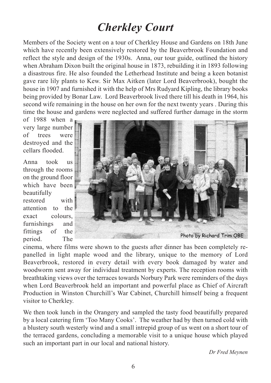### *Cherkley Court*

Members of the Society went on a tour of Cherkley House and Gardens on 18th June which have recently been extensively restored by the Beaverbrook Foundation and reflect the style and design of the 1930s. Anna, our tour guide, outlined the history when Abraham Dixon built the original house in 1873, rebuilding it in 1893 following a disastrous fire. He also founded the Letherhead Institute and being a keen botanist gave rare lily plants to Kew. Sir Max Aitken (later Lord Beaverbrook), bought the house in 1907 and furnished it with the help of Mrs Rudyard Kipling, the library books being provided by Bonar Law. Lord Beaverbrook lived there till his death in 1964, his second wife remaining in the house on her own for the next twenty years . During this time the house and gardens were neglected and suffered further damage in the storm

of 1988 when a very large number of trees were destroyed and the cellars flooded.

Anna took us through the rooms on the ground floor which have been beautifully restored with attention to the exact colours, furnishings and fittings of the period. The



cinema, where films were shown to the guests after dinner has been completely repanelled in light maple wood and the library, unique to the memory of Lord Beaverbrook, restored in every detail with every book damaged by water and woodworm sent away for individual treatment by experts. The reception rooms with breathtaking views over the terraces towards Norbury Park were reminders of the days when Lord Beaverbrook held an important and powerful place as Chief of Aircraft Production in Winston Churchill's War Cabinet, Churchill himself being a frequent visitor to Cherkley.

We then took lunch in the Orangery and sampled the tasty food beautifully prepared by a local catering firm 'Too Many Cooks'. The weather had by then turned cold with a blustery south westerly wind and a small intrepid group of us went on a short tour of the terraced gardens, concluding a memorable visit to a unique house which played such an important part in our local and national history.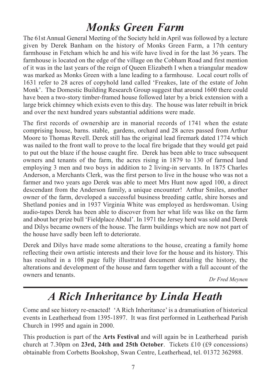### *Monks Green Farm*

The 61st Annual General Meeting of the Society held in April was followed by a lecture given by Derek Banham on the history of Monks Green Farm, a 17th century farmhouse in Fetcham which he and his wife have lived in for the last 36 years. The farmhouse is located on the edge of the village on the Cobham Road and first mention of it was in the last years of the reign of Queen Elizabeth I when a triangular meadow was marked as Monks Green with a lane leading to a farmhouse. Local court rolls of 1631 refer to 28 acres of copyhold land called 'Freakes, late of the estate of John Monk'. The Domestic Building Research Group suggest that around 1600 there could have been a two-story timber-framed house followed later by a brick extension with a large brick chimney which exists even to this day. The house was later rebuilt in brick and over the next hundred years substantial additions were made.

The first records of ownership are in manorial records of 1741 when the estate comprising house, barns. stable, gardens, orchard and 28 acres passed from Arthur Moore to Thomas Revell. Derek still has the original lead firemark dated 1774 which was nailed to the front wall to prove to the local fire brigade that they would get paid to put out the blaze if the house caught fire. Derek has been able to trace subsequent owners and tenants of the farm, the acres rising in 1879 to 130 of farmed land employing 3 men and two boys in addition to 2 living-in servants. In 1875 Charles Anderson, a Merchants Clerk, was the first person to live in the house who was not a farmer and two years ago Derek was able to meet Mrs Hunt now aged 100, a direct descendant from the Anderson family, a unique encounter! Arthur Smiles, another owner of the farm, developed a successful business breeding cattle, shire horses and Shetland ponies and in 1937 Virginia White was employed as herdswoman. Using audio-tapes Derek has been able to discover from her what life was like on the farm and about her prize bull 'Fieldplace Abdul'. In 1971 the Jersey herd was sold and Derek and Dilys became owners of the house. The farm buildings which are now not part of the house have sadly been left to deteriorate.

Derek and Dilys have made some alterations to the house, creating a family home reflecting their own artistic interests and their love for the house and its history. This has resulted in a 108 page fully illustrated document detailing the history, the alterations and development of the house and farm together with a full account of the owners and tenants. *Dr Fred Meynen*

### *A Rich Inheritance by Linda Heath*

Come and see history re-enacted! 'A Rich Inheritance' is a dramatisation of historical events in Leatherhead from 1395-1897. It was first performed in Leatherhead Parish Church in 1995 and again in 2000.

This production is part of the **Arts Festival** and will again be in Leatherhead parish church at 7.30pm on **23rd, 24th and 25th October**. Tickets £10 (£9 concessions) obtainable from Corbetts Bookshop, Swan Centre, Leatherhead, tel. 01372 362988.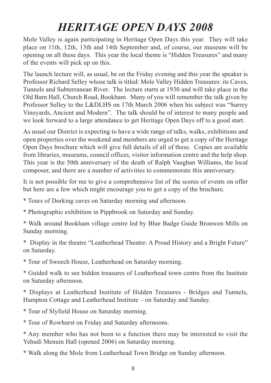### *HERITAGE OPEN DAYS 2008*

Mole Valley is again participating in Heritage Open Days this year. They will take place on 11th, 12th, 13th and 14th September and, of course, our museum will be opening on all these days. This year the local theme is "Hidden Treasures" and many of the events will pick up on this.

The launch lecture will, as usual, be on the Friday evening and this year the speaker is Professor Richard Selley whose talk is titled: Mole Valley Hidden Treasures: its Caves, Tunnels and Subterranean River. The lecture starts at 1930 and will take place in the Old Barn Hall, Church Road, Bookham. Many of you will remember the talk given by Professor Selley to the L&DLHS on 17th March 2006 when his subject was "Surrey Vineyards, Ancient and Modern". The talk should be of interest to many people and we look forward to a large attendance to get Heritage Open Days off to a good start.

As usual our District is expecting to have a wide range of talks, walks, exhibitions and open properties over the weekend and members are urged to get a copy of the Heritage Open Days brochure which will give full details of all of these. Copies are available from libraries, museums, council offices, visitor information centre and the help shop. This year is the 50th anniversary of the death of Ralph Vaughan Williams, the local composer, and there are a number of activities to commemorate this anniversary.

It is not possible for me to give a comprehensive list of the scores of events on offer but here are a few which might encourage you to get a copy of the brochure.

\* Tours of Dorking caves on Saturday morning and afternoon.

\* Photographic exhibition in Pippbrook on Saturday and Sunday.

\* Walk around Bookham village centre led by Blue Badge Guide Bronwen Mills on Sunday morning.

\* Display in the theatre "Leatherhead Theatre: A Proud History and a Bright Future" on Saturday.

\* Tour of Sweech House, Leatherhead on Saturday morning.

\* Guided walk to see hidden treasures of Leatherhead town centre from the Institute on Saturday afternoon.

\* Displays at Leatherhead Institute of Hidden Treasures - Bridges and Tunnels, Hampton Cottage and Leatherhead Institute – on Saturday and Sunday.

\* Tour of Slyfield House on Saturday morning.

\* Tour of Rowhurst on Friday and Saturday afternoons.

\* Any member who has not been to a function there may be interested to visit the Yehudi Menuin Hall (opened 2006) on Saturday morning.

\* Walk along the Mole from Leatherhead Town Bridge on Sunday afternoon.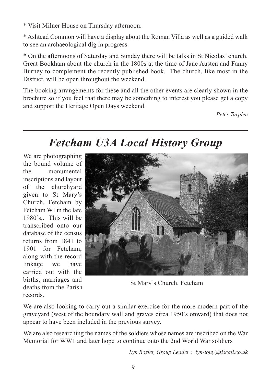\* Visit Milner House on Thursday afternoon.

\* Ashtead Common will have a display about the Roman Villa as well as a guided walk to see an archaeological dig in progress.

\* On the afternoons of Saturday and Sunday there will be talks in St Nicolas' church, Great Bookham about the church in the 1800s at the time of Jane Austen and Fanny Burney to complement the recently published book. The church, like most in the District, will be open throughout the weekend.

The booking arrangements for these and all the other events are clearly shown in the brochure so if you feel that there may be something to interest you please get a copy and support the Heritage Open Days weekend.

*Peter Tarplee*

### *Fetcham U3A Local History Group*

We are photographing the bound volume of the monumental inscriptions and layout of the churchyard given to St Mary's Church, Fetcham by Fetcham WI in the late 1980's,. This will be transcribed onto our database of the census returns from 1841 to 1901 for Fetcham, along with the record linkage we have carried out with the births, marriages and deaths from the Parish records.



St Mary's Church, Fetcham

We are also looking to carry out a similar exercise for the more modern part of the graveyard (west of the boundary wall and graves circa 1950's onward) that does not appear to have been included in the previous survey.

We are also researching the names of the soldiers whose names are inscribed on the War Memorial for WW1 and later hope to continue onto the 2nd World War soldiers

*Lyn Rozier, Group Leader : lyn-tony@tiscali.co.uk*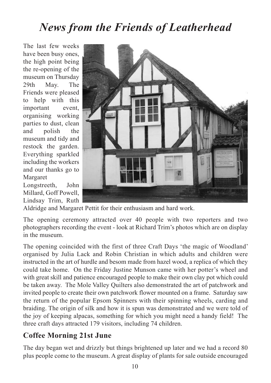### *News from the Friends of Leatherhead*

The last few weeks have been busy ones, the high point being the re-opening of the museum on Thursday 29th May. The Friends were pleased to help with this important event, organising working parties to dust, clean and polish the museum and tidy and restock the garden. Everything sparkled including the workers and our thanks go to Margaret

Longstreeth, John Millard, Goff Powell, Lindsay Trim, Ruth



Aldridge and Margaret Pettit for their enthusiasm and hard work.

The opening ceremony attracted over 40 people with two reporters and two photographers recording the event - look at Richard Trim's photos which are on display in the museum.

The opening coincided with the first of three Craft Days 'the magic of Woodland' organised by Julia Lack and Robin Christian in which adults and children were instructed in the art of hurdle and besom made from hazel wood, a replica of which they could take home. On the Friday Justine Munson came with her potter's wheel and with great skill and patience encouraged people to make their own clay pot which could be taken away. The Mole Valley Quilters also demonstrated the art of patchwork and invited people to create their own patchwork flower mounted on a frame. Saturday saw the return of the popular Epsom Spinners with their spinning wheels, carding and braiding. The origin of silk and how it is spun was demonstrated and we were told of the joy of keeping alpacas, something for which you might need a handy field! The three craft days attracted 179 visitors, including 74 children.

#### **Coffee Morning 21st June**

The day began wet and drizzly but things brightened up later and we had a record 80 plus people come to the museum. A great display of plants for sale outside encouraged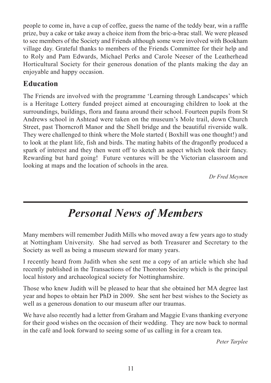people to come in, have a cup of coffee, guess the name of the teddy bear, win a raffle prize, buy a cake or take away a choice item from the bric-a-brac stall. We were pleased to see members of the Society and Friends although some were involved with Bookham village day. Grateful thanks to members of the Friends Committee for their help and to Roly and Pam Edwards, Michael Perks and Carole Neeser of the Leatherhead Horticultural Society for their generous donation of the plants making the day an enjoyable and happy occasion.

#### **Education**

The Friends are involved with the programme 'Learning through Landscapes' which is a Heritage Lottery funded project aimed at encouraging children to look at the surroundings, buildings, flora and fauna around their school. Fourteen pupils from St Andrews school in Ashtead were taken on the museum's Mole trail, down Church Street, past Thorncroft Manor and the Shell bridge and the beautiful riverside walk. They were challenged to think where the Mole started ( Boxhill was one thought!) and to look at the plant life, fish and birds. The mating habits of the dragonfly produced a spark of interest and they then went off to sketch an aspect which took their fancy. Rewarding but hard going! Future ventures will be the Victorian classroom and looking at maps and the location of schools in the area.

*Dr Fred Meynen*

### *Personal News of Members*

Many members will remember Judith Mills who moved away a few years ago to study at Nottingham University. She had served as both Treasurer and Secretary to the Society as well as being a museum steward for many years.

I recently heard from Judith when she sent me a copy of an article which she had recently published in the Transactions of the Thoroton Society which is the principal local history and archaeological society for Nottinghamshire.

Those who knew Judith will be pleased to hear that she obtained her MA degree last year and hopes to obtain her PhD in 2009. She sent her best wishes to the Society as well as a generous donation to our museum after our traumas.

We have also recently had a letter from Graham and Maggie Evans thanking everyone for their good wishes on the occasion of their wedding. They are now back to normal in the café and look forward to seeing some of us calling in for a cream tea.

*Peter Tarplee*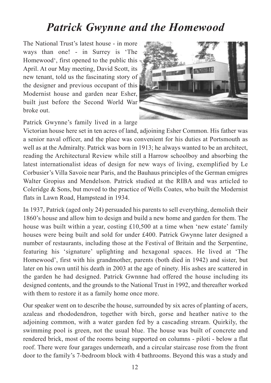#### *Patrick Gwynne and the Homewood*

The National Trust's latest house - in more ways than one! - in Surrey is 'The Homewood', first opened to the public this April. At our May meeting, David Scott, its new tenant, told us the fascinating story of the designer and previous occupant of this Modernist house and garden near Esher, built just before the Second World War broke out.



Patrick Gwynne's family lived in a large

Victorian house here set in ten acres of land, adjoining Esher Common. His father was a senior naval officer, and the place was convenient for his duties at Portsmouth as well as at the Admiralty. Patrick was born in 1913; he always wanted to be an architect, reading the Architectural Review while still a Harrow schoolboy and absorbing the latest internationalist ideas of design for new ways of living, exemplified by Le Corbusier's Villa Savoie near Paris, and the Bauhaus principles of the German emigres Walter Gropius and Mendelson. Patrick studied at the RIBA and was articled to Coleridge & Sons, but moved to the practice of Wells Coates, who built the Modernist flats in Lawn Road, Hampstead in 1934.

In 1937, Patrick (aged only 24) persuaded his parents to sell everything, demolish their 1860's house and allow him to design and build a new home and garden for them. The house was built within a year, costing £10,500 at a time when 'new estate' family houses were being built and sold for under £400. Patrick Gwynne later designed a number of restaurants, including those at the Festival of Britain and the Serpentine, featuring his 'signature' uplighting and hexagonal spaces. He lived at 'The Homewood', first with his grandmother, parents (both died in 1942) and sister, but later on his own until his death in 2003 at the age of ninety. His ashes are scattered in the garden he had designed. Patrick Gwnnne had offered the house including its designed contents, and the grounds to the National Trust in 1992, and thereafter worked with them to restore it as a family home once more.

Our speaker went on to describe the house, surrounded by six acres of planting of acers, azaleas and rhododendron, together with birch, gorse and heather native to the adjoining common, with a water garden fed by a cascading stream. Quirkily, the swimming pool is green, not the usual blue. The house was built of concrete and rendered brick, most of the rooms being supported on columns - piloti - below a flat roof. There were four garages underneath, and a circular staircase rose from the front door to the family's 7-bedroom block with 4 bathrooms. Beyond this was a study and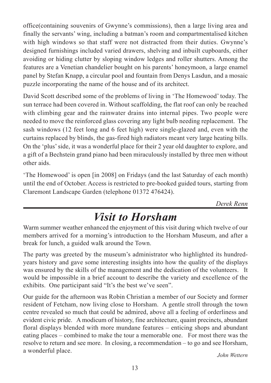office(containing souvenirs of Gwynne's commissions), then a large living area and finally the servants' wing, including a batman's room and compartmentalised kitchen with high windows so that staff were not distracted from their duties. Gwynne's designed furnishings included varied drawers, shelving and inbuilt cupboards, either avoiding or hiding clutter by sloping window ledges and roller shutters. Among the features are a Venetian chandelier bought on his parents' honeymoon, a large enamel panel by Stefan Knapp, a circular pool and fountain from Denys Lasdun, and a mosaic puzzle incorporating the name of the house and of its architect.

David Scott described some of the problems of living in 'The Homewood' today. The sun terrace had been covered in. Without scaffolding, the flat roof can only be reached with climbing gear and the rainwater drains into internal pipes. Two people were needed to move the reinforced glass covering any light bulb needing replacement. The sash windows (12 feet long and 6 feet high) were single-glazed and, even with the curtains replaced by blinds, the gas-fired high radiators meant very large heating bills. On the 'plus'side, it was a wonderful place for their 2 year old daughter to explore, and a gift of a Bechstein grand piano had been miraculously installed by three men without other aids.

'The Homewood' is open [in 2008] on Fridays (and the last Saturday of each month) until the end of October. Access is restricted to pre-booked guided tours, starting from Claremont Landscape Garden (telephone 01372 476424).

*Derek Renn*

### *Visit to Horsham*

Warm summer weather enhanced the enjoyment of this visit during which twelve of our members arrived for a morning's introduction to the Horsham Museum, and after a break for lunch, a guided walk around the Town.

The party was greeted by the museum's administrator who highlighted its hundredyears history and gave some interesting insights into how the quality of the displays was ensured by the skills of the management and the dedication of the volunteers. It would be impossible in a brief account to describe the variety and excellence of the exhibits. One participant said "It's the best we've seen".

Our guide for the afternoon was Robin Christian a member of our Society and former resident of Fetcham, now living close to Horsham. A gentle stroll through the town centre revealed so much that could be admired, above all a feeling of orderliness and evident civic pride. A modicum of history, fine architecture, quaint precincts, abundant floral displays blended with more mundane features – enticing shops and abundant eating places – combined to make the tour a memorable one. For most there was the resolve to return and see more. In closing, a recommendation – to go and see Horsham, <sup>a</sup> wonderful place. *John Wettern*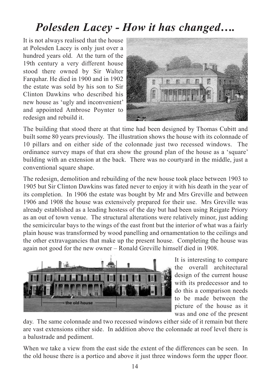### *Polesden Lacey - How it has changed….*

It is not always realised that the house at Polesden Lacey is only just over a hundred years old. At the turn of the 19th century a very different house stood there owned by Sir Walter Farquhar. He died in 1900 and in 1902 the estate was sold by his son to Sir Clinton Dawkins who described his new house as 'ugly and inconvenient' and appointed Ambrose Poynter to redesign and rebuild it.



The building that stood there at that time had been designed by Thomas Cubitt and built some 80 years previously. The illustration shows the house with its colonnade of 10 pillars and on either side of the colonnade just two recessed windows. The ordinance survey maps of that era show the ground plan of the house as a 'square' building with an extension at the back. There was no courtyard in the middle, just a conventional square shape.

The redesign, demolition and rebuilding of the new house took place between 1903 to 1905 but Sir Clinton Dawkins was fated never to enjoy it with his death in the year of its completion. In 1906 the estate was bought by Mr and Mrs Greville and between 1906 and 1908 the house was extensively prepared for their use. Mrs Greville was already established as a leading hostess of the day but had been using Reigate Priory as an out of town venue. The structural alterations were relatively minor, just adding the semicircular bays to the wings of the east front but the interior of what was a fairly plain house was transformed by wood panelling and ornamentation to the ceilings and the other extravagancies that make up the present house. Completing the house was again not good for the new owner – Ronald Greville himself died in 1908.



It is interesting to compare the overall architectural design of the current house with its predecessor and to do this a comparison needs to be made between the picture of the house as it was and one of the present

day. The same colonnade and two recessed windows either side of it remain but there are vast extensions either side. In addition above the colonnade at roof level there is a balustrade and pediment.

When we take a view from the east side the extent of the differences can be seen. In the old house there is a portico and above it just three windows form the upper floor.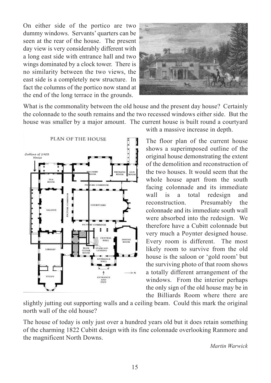On either side of the portico are two dummy windows. Servants' quarters can be seen at the rear of the house. The present day view is very considerably different with a long east side with entrance hall and two wings dominated by a clock tower. There is no similarity between the two views, the east side is a completely new structure. In fact the columns of the portico now stand at the end of the long terrace in the grounds.



What is the commonality between the old house and the present day house? Certainly the colonnade to the south remains and the two recessed windows either side. But the house was smaller by a major amount. The current house is built round a courtyard



with a massive increase in depth.

The floor plan of the current house shows a superimposed outline of the original house demonstrating the extent of the demolition and reconstruction of the two houses. It would seem that the whole house apart from the south facing colonnade and its immediate wall is a total redesign and reconstruction. Presumably the colonnade and its immediate south wall were absorbed into the redesign. We therefore have a Cubitt colonnade but very much a Poynter designed house. Every room is different. The most likely room to survive from the old house is the saloon or 'gold room' but the surviving photo of that room shows a totally different arrangement of the windows. From the interior perhaps the only sign of the old house may be in the Billiards Room where there are

slightly jutting out supporting walls and a ceiling beam. Could this mark the original north wall of the old house?

The house of today is only just over a hundred years old but it does retain something of the charming 1822 Cubitt design with its fine colonnade overlooking Ranmore and the magnificent North Downs.

*Martin Warwick*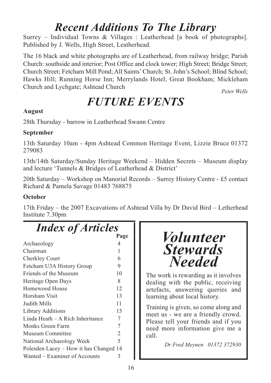### *Recent Additions To The Library*

Surrey – Individual Towns & Villages : Leatherhead [a book of photographs]. Published by J. Wells, High Street, Leatherhead.

The 16 black and white photographs are of Leatherhead, from railway bridge; Parish Church: southside and interior; Post Office and clock tower; High Street; Bridge Street; Church Street; Fetcham Mill Pond; All Saints'Church; St. John's School; Blind School; Hawks Hill; Running Horse Inn; Merrylands Hotel, Great Bookham; Mickleham Church and Lychgate; Ashtead Church

*Peter Wells*

### *FUTURE EVENTS*

#### **August**

28th Thursday - barrow in Leatherhead Swann Centre

#### **September**

13th Saturday 10am - 4pm Ashtead Common Heritage Event, Lizzie Bruce 01372 279083

13th/14th Saturday/Sunday Heritage Weekend – Hidden Secrets – Museum display and lecture 'Tunnels & Bridges of Leatherhead & District'

20th Saturday – Workshop on Manorial Records – Surrey History Centre - £5 contact Richard & Pamela Savage 01483 768875

#### **October**

17th Friday – the 2007 Excavations of Ashtead Villa by Dr David Bird – Letherhead Institute 7.30pm

### *Index of Articles*

|                                        | Page           |
|----------------------------------------|----------------|
| Archaeology                            | 4              |
| Chairman                               | 1              |
| Cherkley Court                         | 6              |
| Fetcham U3A History Group              | 9              |
| Friends of the Museum                  | 10             |
| Heritage Open Days                     | 8              |
| Homewood House                         | 12             |
| Horsham Visit                          | 13             |
| Judith Mills                           | 11             |
| <b>Library Additions</b>               | 15             |
| Linda Heath – A Rich Inheritance       | 7              |
| Monks Green Farm                       | 7              |
| Museum Committee                       | $\overline{2}$ |
| National Archaeology Week              | 5              |
| Polesden Lacey – How it has Changed 14 |                |
| Wanted – Examiner of Accounts          | 3              |
|                                        |                |



The work is rewarding as it involves dealing with the public, receiving artefacts, answering queries and learning about local history.

Training is given, so come along and meet us - we are a friendly crowd. Please tell your friends and if you need more information give me a call.

*Dr Fred Meynen 01372 372930*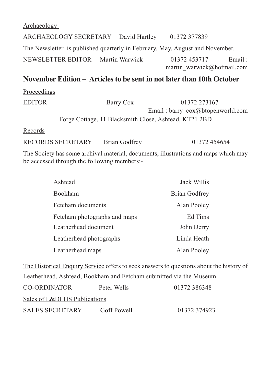Archaeology ARCHAEOLOGY SECRETARY David Hartley 01372 377839 The Newsletter is published quarterly in February, May, August and November. NEWSLETTER EDITOR Martin Warwick 01372 453717 Email : martin\_warwick@hotmail.com

#### **November Edition – Articles to be sent in not later than 10th October**

Proceedings EDITOR Barry Cox 01372 273167 Email : barry\_cox@btopenworld.com Forge Cottage, 11 Blacksmith Close, Ashtead, KT21 2BD

Records

RECORDS SECRETARY Brian Godfrey 01372 454654

The Society has some archival material, documents, illustrations and maps which may be accessed through the following members:-

| Ashtead                      | Jack Willis   |
|------------------------------|---------------|
| Bookham                      | Brian Godfrey |
| Fetcham documents            | Alan Pooley   |
| Fetcham photographs and maps | Ed Tims       |
| Leatherhead document         | John Derry    |
| Leatherhead photographs      | Linda Heath   |
| Leatherhead maps             | Alan Pooley   |

The Historical Enquiry Service offers to seek answers to questions about the history of Leatherhead, Ashtead, Bookham and Fetcham submitted via the Museum

| CO-ORDINATOR                 | Peter Wells | 01372 386348 |
|------------------------------|-------------|--------------|
| Sales of L&DLHS Publications |             |              |
| <b>SALES SECRETARY</b>       | Goff Powell | 01372 374923 |